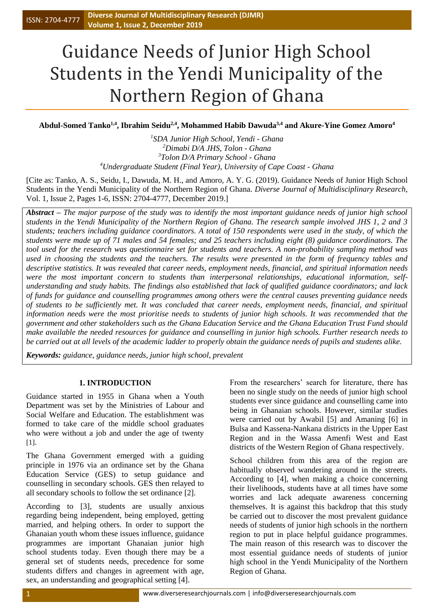# Guidance Needs of Junior High School Students in the Yendi Municipality of the Northern Region of Ghana

# **Abdul-Somed Tanko1,4, Ibrahim Seidu2,4, Mohammed Habib Dawuda3,4 and Akure-Yine Gomez Amoro<sup>4</sup>**

 *SDA Junior High School, Yendi - Ghana Dimabi D/A JHS, Tolon - Ghana Tolon D/A Primary School - Ghana Undergraduate Student (Final Year), University of Cape Coast - Ghana*

[Cite as: Tanko, A. S., Seidu, I., Dawuda, M. H., and Amoro, A. Y. G. (2019). Guidance Needs of Junior High School Students in the Yendi Municipality of the Northern Region of Ghana. *Diverse Journal of Multidisciplinary Research*, Vol. 1, Issue 2, Pages 1-6, ISSN: 2704-4777, December 2019.]

*Abstract – The major purpose of the study was to identify the most important guidance needs of junior high school students in the Yendi Municipality of the Northern Region of Ghana. The research sample involved JHS 1, 2 and 3 students; teachers including guidance coordinators. A total of 150 respondents were used in the study, of which the students were made up of 71 males and 54 females; and 25 teachers including eight (8) guidance coordinators. The tool used for the research was questionnaire set for students and teachers. A non-probability sampling method was used in choosing the students and the teachers. The results were presented in the form of frequency tables and descriptive statistics. It was revealed that career needs, employment needs, financial, and spiritual information needs were the most important concern to students than interpersonal relationships, educational information, selfunderstanding and study habits. The findings also established that lack of qualified guidance coordinators; and lack of funds for guidance and counselling programmes among others were the central causes preventing guidance needs of students to be sufficiently met. It was concluded that career needs, employment needs, financial, and spiritual information needs were the most prioritise needs to students of junior high schools. It was recommended that the government and other stakeholders such as the Ghana Education Service and the Ghana Education Trust Fund should make available the needed resources for guidance and counselling in junior high schools. Further research needs to be carried out at all levels of the academic ladder to properly obtain the guidance needs of pupils and students alike.*

*Keywords: guidance, guidance needs, junior high school, prevalent*

# **1. INTRODUCTION**

Guidance started in 1955 in Ghana when a Youth Department was set by the Ministries of Labour and Social Welfare and Education. The establishment was formed to take care of the middle school graduates who were without a job and under the age of twenty [1].

The Ghana Government emerged with a guiding principle in 1976 via an ordinance set by the Ghana Education Service (GES) to setup guidance and counselling in secondary schools. GES then relayed to all secondary schools to follow the set ordinance [2].

According to [3], students are usually anxious regarding being independent, being employed, getting married, and helping others. In order to support the Ghanaian youth whom these issues influence, guidance programmes are important Ghanaian junior high school students today. Even though there may be a general set of students needs, precedence for some students differs and changes in agreement with age, sex, an understanding and geographical setting [4].

From the researchers' search for literature, there has been no single study on the needs of junior high school students ever since guidance and counselling came into being in Ghanaian schools. However, similar studies were carried out by Awabil [5] and Amaning [6] in Bulsa and Kassena-Nankana districts in the Upper East Region and in the Wassa Amenfi West and East districts of the Western Region of Ghana respectively.

School children from this area of the region are habitually observed wandering around in the streets. According to [4], when making a choice concerning their livelihoods, students have at all times have some worries and lack adequate awareness concerning themselves. It is against this backdrop that this study be carried out to discover the most prevalent guidance needs of students of junior high schools in the northern region to put in place helpful guidance programmes. The main reason of this research was to discover the most essential guidance needs of students of junior high school in the Yendi Municipality of the Northern Region of Ghana.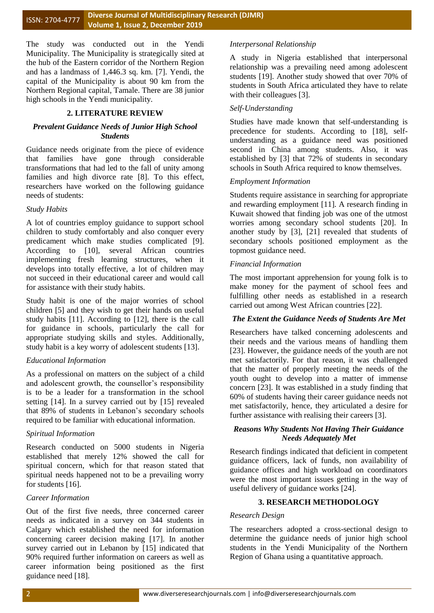The study was conducted out in the Yendi Municipality. The Municipality is strategically sited at the hub of the Eastern corridor of the Northern Region and has a landmass of 1,446.3 sq. km. [7]. Yendi, the capital of the Municipality is about 90 km from the Northern Regional capital, Tamale. There are 38 junior high schools in the Yendi municipality.

## **2. LITERATURE REVIEW**

# *Prevalent Guidance Needs of Junior High School Students*

Guidance needs originate from the piece of evidence that families have gone through considerable transformations that had led to the fall of unity among families and high divorce rate [8]. To this effect, researchers have worked on the following guidance needs of students:

## *Study Habits*

A lot of countries employ guidance to support school children to study comfortably and also conquer every predicament which make studies complicated [9]. According to [10], several African countries implementing fresh learning structures, when it develops into totally effective, a lot of children may not succeed in their educational career and would call for assistance with their study habits.

Study habit is one of the major worries of school children [5] and they wish to get their hands on useful study habits [11]. According to [12], there is the call for guidance in schools, particularly the call for appropriate studying skills and styles. Additionally, study habit is a key worry of adolescent students [13].

# *Educational Information*

As a professional on matters on the subject of a child and adolescent growth, the counsellor's responsibility is to be a leader for a transformation in the school setting [14]. In a survey carried out by [15] revealed that 89% of students in Lebanon's secondary schools required to be familiar with educational information.

# *Spiritual Information*

Research conducted on 5000 students in Nigeria established that merely 12% showed the call for spiritual concern, which for that reason stated that spiritual needs happened not to be a prevailing worry for students [16].

## *Career Information*

Out of the first five needs, three concerned career needs as indicated in a survey on 344 students in Calgary which established the need for information concerning career decision making [17]. In another survey carried out in Lebanon by [15] indicated that 90% required further information on careers as well as career information being positioned as the first guidance need [18].

# *Interpersonal Relationship*

A study in Nigeria established that interpersonal relationship was a prevailing need among adolescent students [19]. Another study showed that over 70% of students in South Africa articulated they have to relate with their colleagues [3].

## *Self-Understanding*

Studies have made known that self-understanding is precedence for students. According to [18], selfunderstanding as a guidance need was positioned second in China among students. Also, it was established by [3] that 72% of students in secondary schools in South Africa required to know themselves.

# *Employment Information*

Students require assistance in searching for appropriate and rewarding employment [11]. A research finding in Kuwait showed that finding job was one of the utmost worries among secondary school students [20]. In another study by [3], [21] revealed that students of secondary schools positioned employment as the topmost guidance need.

## *Financial Information*

The most important apprehension for young folk is to make money for the payment of school fees and fulfilling other needs as established in a research carried out among West African countries [22].

# *The Extent the Guidance Needs of Students Are Met*

Researchers have talked concerning adolescents and their needs and the various means of handling them [23]. However, the guidance needs of the youth are not met satisfactorily. For that reason, it was challenged that the matter of properly meeting the needs of the youth ought to develop into a matter of immense concern [23]. It was established in a study finding that 60% of students having their career guidance needs not met satisfactorily, hence, they articulated a desire for further assistance with realising their careers [3].

## *Reasons Why Students Not Having Their Guidance Needs Adequately Met*

Research findings indicated that deficient in competent guidance officers, lack of funds, non availability of guidance offices and high workload on coordinators were the most important issues getting in the way of useful delivery of guidance works [24].

# **3. RESEARCH METHODOLOGY**

## *Research Design*

The researchers adopted a cross-sectional design to determine the guidance needs of junior high school students in the Yendi Municipality of the Northern Region of Ghana using a quantitative approach.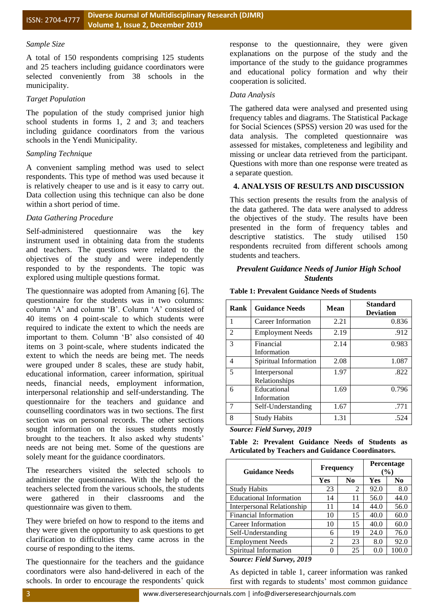#### *Sample Size*

A total of 150 respondents comprising 125 students and 25 teachers including guidance coordinators were selected conveniently from 38 schools in the municipality.

#### *Target Population*

The population of the study comprised junior high school students in forms 1, 2 and 3; and teachers including guidance coordinators from the various schools in the Yendi Municipality.

## *Sampling Technique*

A convenient sampling method was used to select respondents. This type of method was used because it is relatively cheaper to use and is it easy to carry out. Data collection using this technique can also be done within a short period of time.

## *Data Gathering Procedure*

Self-administered questionnaire was the key instrument used in obtaining data from the students and teachers. The questions were related to the objectives of the study and were independently responded to by the respondents. The topic was explored using multiple questions format.

The questionnaire was adopted from Amaning [6]. The questionnaire for the students was in two columns: column 'A' and column 'B'. Column 'A' consisted of 40 items on 4 point-scale to which students were required to indicate the extent to which the needs are important to them. Column 'B' also consisted of 40 items on 3 point-scale, where students indicated the extent to which the needs are being met. The needs were grouped under 8 scales, these are study habit, educational information, career information, spiritual needs, financial needs, employment information, interpersonal relationship and self-understanding. The questionnaire for the teachers and guidance and counselling coordinators was in two sections. The first section was on personal records. The other sections sought information on the issues students mostly brought to the teachers. It also asked why students' needs are not being met. Some of the questions are solely meant for the guidance coordinators.

The researchers visited the selected schools to administer the questionnaires. With the help of the teachers selected from the various schools, the students were gathered in their classrooms and the questionnaire was given to them.

They were briefed on how to respond to the items and they were given the opportunity to ask questions to get clarification to difficulties they came across in the course of responding to the items.

The questionnaire for the teachers and the guidance coordinators were also hand-delivered in each of the schools. In order to encourage the respondents' quick

response to the questionnaire, they were given explanations on the purpose of the study and the importance of the study to the guidance programmes and educational policy formation and why their cooperation is solicited.

## *Data Analysis*

The gathered data were analysed and presented using frequency tables and diagrams. The Statistical Package for Social Sciences (SPSS) version 20 was used for the data analysis. The completed questionnaire was assessed for mistakes, completeness and legibility and missing or unclear data retrieved from the participant. Questions with more than one response were treated as a separate question.

## **4. ANALYSIS OF RESULTS AND DISCUSSION**

This section presents the results from the analysis of the data gathered. The data were analysed to address the objectives of the study. The results have been presented in the form of frequency tables and descriptive statistics. The study utilised 150 respondents recruited from different schools among students and teachers.

#### *Prevalent Guidance Needs of Junior High School Students*

| <b>Guidance Needs</b>          | <b>Mean</b> | <b>Standard</b><br><b>Deviation</b> |
|--------------------------------|-------------|-------------------------------------|
| Career Information             | 2.21        | 0.836                               |
| <b>Employment Needs</b>        | 2.19        | .912                                |
| Financial<br>Information       | 2.14        | 0.983                               |
| Spiritual Information          | 2.08        | 1.087                               |
| Interpersonal<br>Relationships | 1.97        | .822                                |
| Educational<br>Information     | 1.69        | 0.796                               |
| Self-Understanding             | 1.67        | .771                                |
| <b>Study Habits</b>            | 1.31        | .524                                |
|                                |             |                                     |

#### **Table 1: Prevalent Guidance Needs of Students**

*Source: Field Survey, 2019*

**Table 2: Prevalent Guidance Needs of Students as Articulated by Teachers and Guidance Coordinators.**

| <b>Guidance Needs</b>                                                             | <b>Frequency</b> |                | Percentage<br>(%) |                |
|-----------------------------------------------------------------------------------|------------------|----------------|-------------------|----------------|
|                                                                                   | Yes              | N <sub>0</sub> | Yes               | N <sub>0</sub> |
| <b>Study Habits</b>                                                               | 23               | 2              | 92.0              | 8.0            |
| <b>Educational Information</b>                                                    | 14               | 11             | 56.0              | 44.0           |
| Interpersonal Relationship                                                        | 11               | 14             | 44.0              | 56.0           |
| <b>Financial Information</b>                                                      | 10               | 15             | 40.0              | 60.0           |
| Career Information                                                                | 10               | 15             | 40.0              | 60.0           |
| Self-Understanding                                                                | 6                | 19             | 24.0              | 76.0           |
| <b>Employment Needs</b>                                                           | 2                | 23             | 8.0               | 92.0           |
| Spiritual Information                                                             | 0                | 25             | 0.0               | 100.0          |
| $S_{\alpha\mu\nu\rho\sigma\sigma}$ , Eigld $S_{\nu\mu\nu\rho\sigma\sigma}$ , 2010 |                  |                |                   |                |

*Source: Field Survey, 2019*

As depicted in table 1, career information was ranked first with regards to students' most common guidance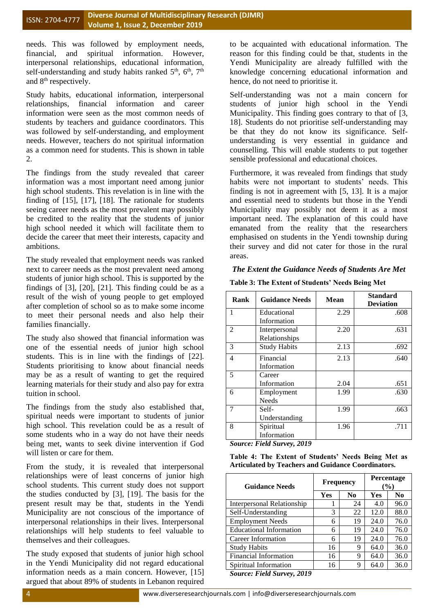needs. This was followed by employment needs, financial, and spiritual information. However, interpersonal relationships, educational information, self-understanding and study habits ranked  $5<sup>th</sup>$ ,  $6<sup>th</sup>$ ,  $7<sup>th</sup>$ and 8<sup>th</sup> respectively.

Study habits, educational information, interpersonal relationships, financial information and career information were seen as the most common needs of students by teachers and guidance coordinators. This was followed by self-understanding, and employment needs. However, teachers do not spiritual information as a common need for students. This is shown in table  $\mathcal{L}$ 

The findings from the study revealed that career information was a most important need among junior high school students. This revelation is in line with the finding of [15], [17], [18]. The rationale for students seeing career needs as the most prevalent may possibly be credited to the reality that the students of junior high school needed it which will facilitate them to decide the career that meet their interests, capacity and ambitions.

The study revealed that employment needs was ranked next to career needs as the most prevalent need among students of junior high school. This is supported by the findings of [3], [20], [21]. This finding could be as a result of the wish of young people to get employed after completion of school so as to make some income to meet their personal needs and also help their families financially.

The study also showed that financial information was one of the essential needs of junior high school students. This is in line with the findings of [22]. Students prioritising to know about financial needs may be as a result of wanting to get the required learning materials for their study and also pay for extra tuition in school.

The findings from the study also established that, spiritual needs were important to students of junior high school. This revelation could be as a result of some students who in a way do not have their needs being met, wants to seek divine intervention if God will listen or care for them.

From the study, it is revealed that interpersonal relationships were of least concerns of junior high school students. This current study does not support the studies conducted by [3], [19]. The basis for the present result may be that, students in the Yendi Municipality are not conscious of the importance of interpersonal relationships in their lives. Interpersonal relationships will help students to feel valuable to themselves and their colleagues.

The study exposed that students of junior high school in the Yendi Municipality did not regard educational information needs as a main concern. However, [15] argued that about 89% of students in Lebanon required

to be acquainted with educational information. The reason for this finding could be that, students in the Yendi Municipality are already fulfilled with the knowledge concerning educational information and hence, do not need to prioritise it.

Self-understanding was not a main concern for students of junior high school in the Yendi Municipality. This finding goes contrary to that of [3, 18]. Students do not prioritise self-understanding may be that they do not know its significance. Selfunderstanding is very essential in guidance and counselling. This will enable students to put together sensible professional and educational choices.

Furthermore, it was revealed from findings that study habits were not important to students' needs. This finding is not in agreement with [5, 13]. It is a major and essential need to students but those in the Yendi Municipality may possibly not deem it as a most important need. The explanation of this could have emanated from the reality that the researchers emphasised on students in the Yendi township during their survey and did not cater for those in the rural areas.

# *The Extent the Guidance Needs of Students Are Met*

**Table 3: The Extent of Students' Needs Being Met**

| Rank | <b>Guidance Needs</b>          | Mean | <b>Standard</b><br><b>Deviation</b> |
|------|--------------------------------|------|-------------------------------------|
| 1    | Educational<br>Information     | 2.29 | .608                                |
| 2    | Interpersonal<br>Relationships | 2.20 | .631                                |
| 3    | <b>Study Habits</b>            | 2.13 | .692                                |
| 4    | Financial<br>Information       | 2.13 | .640                                |
| 5    | Career<br>Information          | 2.04 | .651                                |
| 6    | Employment<br>Needs            | 1.99 | .630                                |
| 7    | Self-<br>Understanding         | 1.99 | .663                                |
| 8    | Spiritual<br>Information       | 1.96 | .711                                |

*Source: Field Survey, 2019*

**Table 4: The Extent of Students' Needs Being Met as Articulated by Teachers and Guidance Coordinators.**

| <b>Guidance Needs</b>          | <b>Frequency</b> |     | <b>Percentage</b><br>(%) |                |
|--------------------------------|------------------|-----|--------------------------|----------------|
|                                | Yes              | No. | <b>Yes</b>               | N <sub>0</sub> |
| Interpersonal Relationship     |                  | 24  | 4.0                      | 96.0           |
| Self-Understanding             | 3                | 22  | 12.0                     | 88.0           |
| <b>Employment Needs</b>        | 6                | 19  | 24.0                     | 76.0           |
| <b>Educational Information</b> | 6                | 19  | 24.0                     | 76.0           |
| Career Information             | 6                | 19  | 24.0                     | 76.0           |
| <b>Study Habits</b>            | 16               | 9   | 64.0                     | 36.0           |
| Financial Information          | 16               | 9   | 64.0                     | 36.0           |
| Spiritual Information          | 16               | 9   | 64.0                     | 36.0           |
| Source: Field Survey, 2019     |                  |     |                          |                |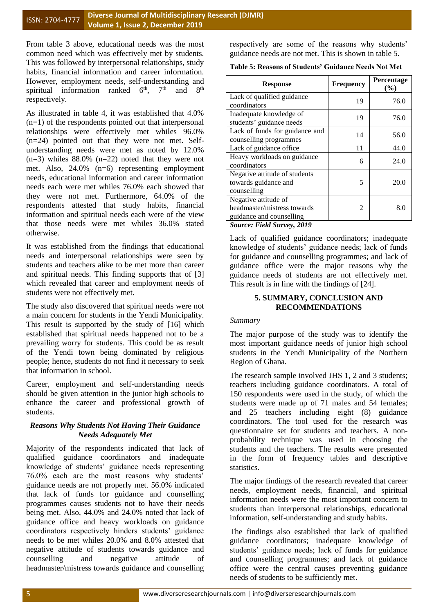From table 3 above, educational needs was the most common need which was effectively met by students. This was followed by interpersonal relationships, study habits, financial information and career information. However, employment needs, self-understanding and spiritual information ranked  $6<sup>th</sup>$ ,  $7<sup>th</sup>$  and  $8<sup>th</sup>$ respectively.

As illustrated in table 4, it was established that 4.0%  $(n=1)$  of the respondents pointed out that interpersonal relationships were effectively met whiles 96.0% (n=24) pointed out that they were not met. Selfunderstanding needs were met as noted by 12.0%  $(n=3)$  whiles 88.0%  $(n=22)$  noted that they were not met. Also, 24.0% (n=6) representing employment needs, educational information and career information needs each were met whiles 76.0% each showed that they were not met. Furthermore, 64.0% of the respondents attested that study habits, financial information and spiritual needs each were of the view that those needs were met whiles 36.0% stated otherwise.

It was established from the findings that educational needs and interpersonal relationships were seen by students and teachers alike to be met more than career and spiritual needs. This finding supports that of [3] which revealed that career and employment needs of students were not effectively met.

The study also discovered that spiritual needs were not a main concern for students in the Yendi Municipality. This result is supported by the study of [16] which established that spiritual needs happened not to be a prevailing worry for students. This could be as result of the Yendi town being dominated by religious people; hence, students do not find it necessary to seek that information in school.

Career, employment and self-understanding needs should be given attention in the junior high schools to enhance the career and professional growth of students.

# *Reasons Why Students Not Having Their Guidance Needs Adequately Met*

Majority of the respondents indicated that lack of qualified guidance coordinators and inadequate knowledge of students' guidance needs representing 76.0% each are the most reasons why students' guidance needs are not properly met. 56.0% indicated that lack of funds for guidance and counselling programmes causes students not to have their needs being met. Also, 44.0% and 24.0% noted that lack of guidance office and heavy workloads on guidance coordinators respectively hinders students' guidance needs to be met whiles 20.0% and 8.0% attested that negative attitude of students towards guidance and counselling and negative attitude of headmaster/mistress towards guidance and counselling

respectively are some of the reasons why students' guidance needs are not met. This is shown in table 5.

| <b>Response</b>                                                                                                           | <b>Frequency</b> | Percentage<br>(%) |
|---------------------------------------------------------------------------------------------------------------------------|------------------|-------------------|
| Lack of qualified guidance<br>coordinators                                                                                | 19               | 76.0              |
| Inadequate knowledge of<br>students' guidance needs                                                                       | 19               | 76.0              |
| Lack of funds for guidance and<br>counselling programmes                                                                  | 14               | 56.0              |
| Lack of guidance office                                                                                                   | 11               | 44.0              |
| Heavy workloads on guidance<br>coordinators                                                                               | 6                | 24.0              |
| Negative attitude of students<br>towards guidance and<br>counselling                                                      | 5                | 20.0              |
| Negative attitude of<br>headmaster/mistress towards<br>guidance and counselling<br>$\mathbf{r}$ $\mathbf{r}$ $\mathbf{r}$ | 2                | 8.0               |

*Source: Field Survey, 2019*

Lack of qualified guidance coordinators; inadequate knowledge of students' guidance needs; lack of funds for guidance and counselling programmes; and lack of guidance office were the major reasons why the guidance needs of students are not effectively met. This result is in line with the findings of [24].

## **5. SUMMARY, CONCLUSION AND RECOMMENDATIONS**

## *Summary*

The major purpose of the study was to identify the most important guidance needs of junior high school students in the Yendi Municipality of the Northern Region of Ghana.

The research sample involved JHS 1, 2 and 3 students; teachers including guidance coordinators. A total of 150 respondents were used in the study, of which the students were made up of 71 males and 54 females; and 25 teachers including eight (8) guidance coordinators. The tool used for the research was questionnaire set for students and teachers. A nonprobability technique was used in choosing the students and the teachers. The results were presented in the form of frequency tables and descriptive statistics.

The major findings of the research revealed that career needs, employment needs, financial, and spiritual information needs were the most important concern to students than interpersonal relationships, educational information, self-understanding and study habits.

The findings also established that lack of qualified guidance coordinators; inadequate knowledge of students' guidance needs; lack of funds for guidance and counselling programmes; and lack of guidance office were the central causes preventing guidance needs of students to be sufficiently met.